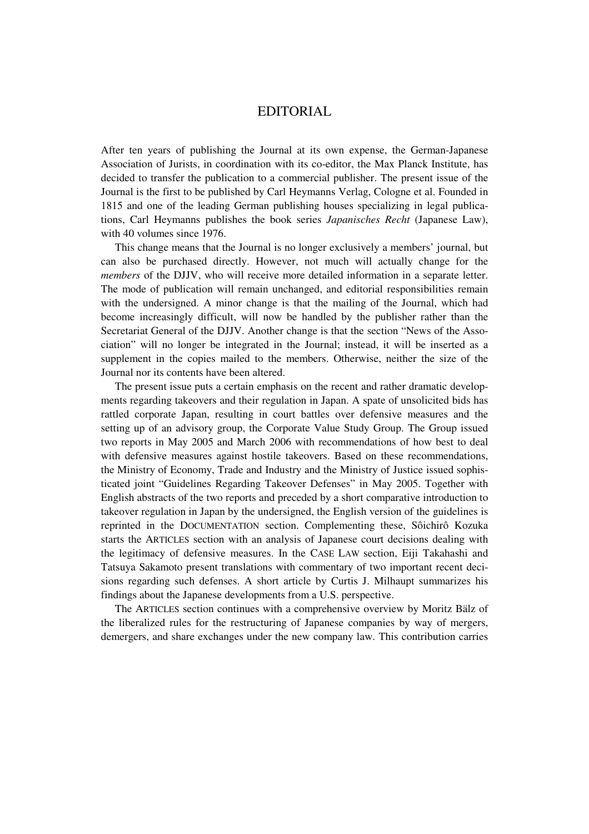## EDITORIAL

After ten years of publishing the Journal at its own expense, the German-Japanese Association of Jurists, in coordination with its co-editor, the Max Planck Institute, has decided to transfer the publication to a commercial publisher. The present issue of the Journal is the first to be published by Carl Heymanns Verlag, Cologne et al. Founded in 1815 and one of the leading German publishing houses specializing in legal publications, Carl Heymanns publishes the book series *Japanisches Recht* (Japanese Law), with 40 volumes since 1976.

This change means that the Journal is no longer exclusively a members' journal, but can also be purchased directly. However, not much will actually change for the *members* of the DJJV, who will receive more detailed information in a separate letter. The mode of publication will remain unchanged, and editorial responsibilities remain with the undersigned. A minor change is that the mailing of the Journal, which had become increasingly difficult, will now be handled by the publisher rather than the Secretariat General of the DJJV. Another change is that the section "News of the Association" will no longer be integrated in the Journal; instead, it will be inserted as a supplement in the copies mailed to the members. Otherwise, neither the size of the Journal nor its contents have been altered.

The present issue puts a certain emphasis on the recent and rather dramatic developments regarding takeovers and their regulation in Japan. A spate of unsolicited bids has rattled corporate Japan, resulting in court battles over defensive measures and the setting up of an advisory group, the Corporate Value Study Group. The Group issued two reports in May 2005 and March 2006 with recommendations of how best to deal with defensive measures against hostile takeovers. Based on these recommendations, the Ministry of Economy, Trade and Industry and the Ministry of Justice issued sophisticated joint "Guidelines Regarding Takeover Defenses" in May 2005. Together with English abstracts of the two reports and preceded by a short comparative introduction to takeover regulation in Japan by the undersigned, the English version of the guidelines is reprinted in the DOCUMENTATION section. Complementing these, Sôichirô Kozuka starts the ARTICLES section with an analysis of Japanese court decisions dealing with the legitimacy of defensive measures. In the CASE LAW section, Eiji Takahashi and Tatsuya Sakamoto present translations with commentary of two important recent decisions regarding such defenses. A short article by Curtis J. Milhaupt summarizes his findings about the Japanese developments from a U.S. perspective.

The ARTICLES section continues with a comprehensive overview by Moritz Bälz of the liberalized rules for the restructuring of Japanese companies by way of mergers, demergers, and share exchanges under the new company law. This contribution carries